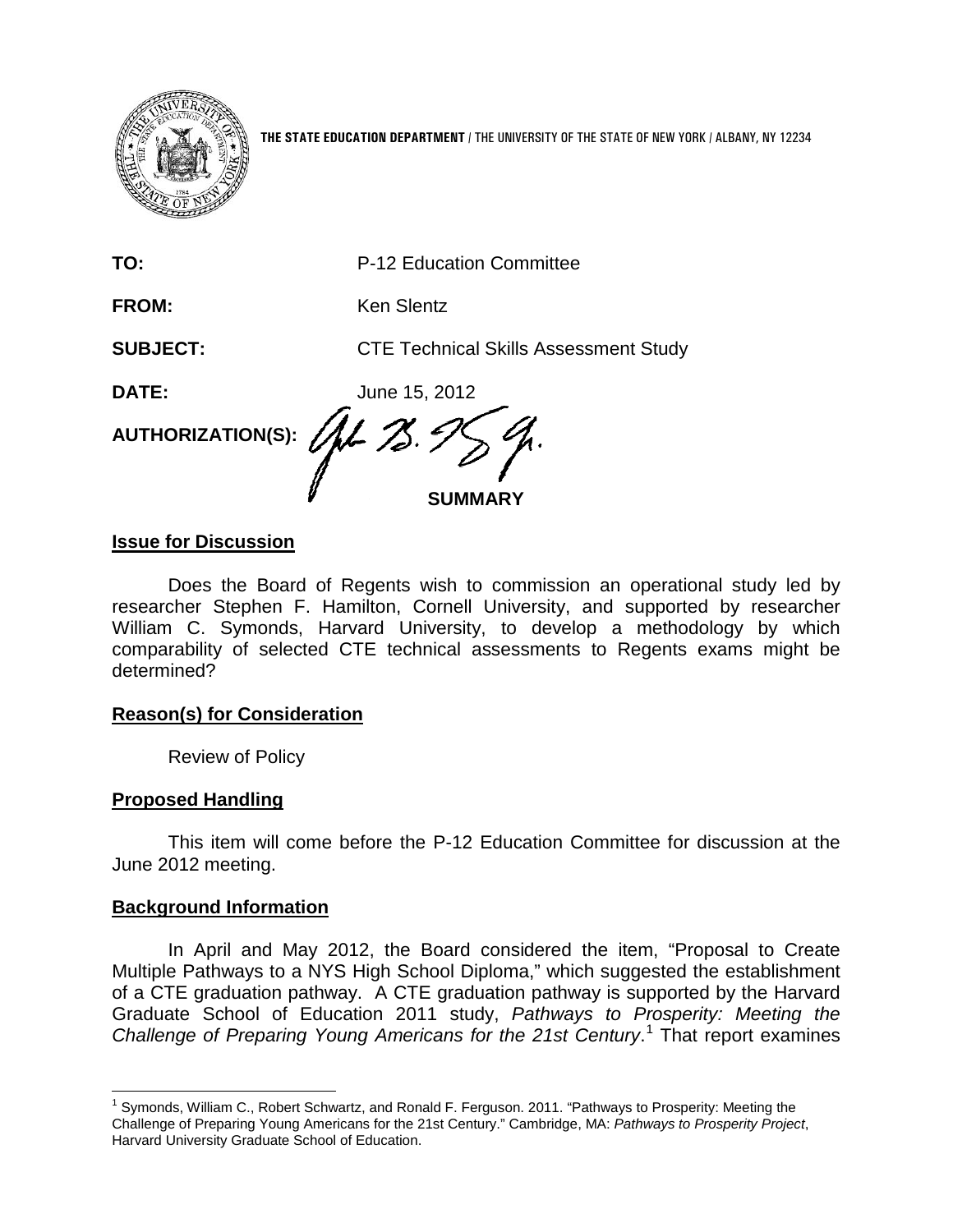

**THE STATE EDUCATION DEPARTMENT** / THE UNIVERSITY OF THE STATE OF NEW YORK / ALBANY, NY 12234

| TO:                                                                           | P-12 Education Committee                     |
|-------------------------------------------------------------------------------|----------------------------------------------|
| FROM:                                                                         | <b>Ken Slentz</b>                            |
| <b>SUBJECT:</b>                                                               | <b>CTE Technical Skills Assessment Study</b> |
| <b>DATE:</b>                                                                  | June 15, 2012                                |
| AUTHORIZATION(S): $\mathscr{A\!L}$ $\mathscr{Z}$ . $\mathscr{Y}\!\mathscr{S}$ | <b>SUMMARY</b>                               |

## **Issue for Discussion**

Does the Board of Regents wish to commission an operational study led by researcher Stephen F. Hamilton, Cornell University, and supported by researcher William C. Symonds, Harvard University, to develop a methodology by which comparability of selected CTE technical assessments to Regents exams might be determined?

### **Reason(s) for Consideration**

Review of Policy

### **Proposed Handling**

This item will come before the P-12 Education Committee for discussion at the June 2012 meeting.

### **Background Information**

In April and May 2012, the Board considered the item, "Proposal to Create Multiple Pathways to a NYS High School Diploma," which suggested the establishment of a CTE graduation pathway. A CTE graduation pathway is supported by the Harvard Graduate School of Education 2011 study, *Pathways to Prosperity: Meeting the Challenge of Preparing Young Americans for the 21st Century*. [1](#page-0-0) That report examines

<span id="page-0-0"></span> <sup>1</sup> Symonds, William C., Robert Schwartz, and Ronald F. Ferguson. 2011. "Pathways to Prosperity: Meeting the Challenge of Preparing Young Americans for the 21st Century." Cambridge, MA: *Pathways to Prosperity Project*, Harvard University Graduate School of Education.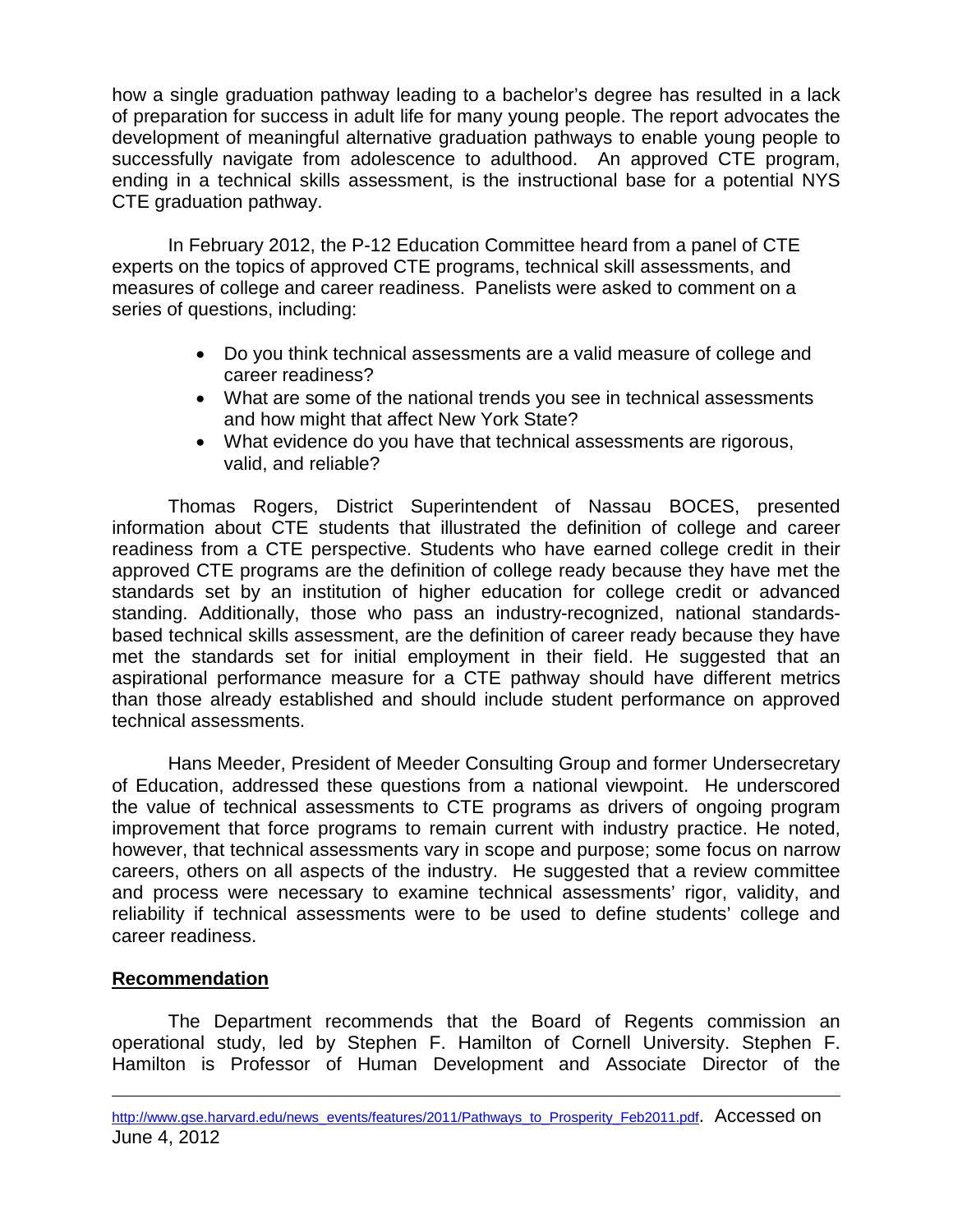how a single graduation pathway leading to a bachelor's degree has resulted in a lack of preparation for success in adult life for many young people. The report advocates the development of meaningful alternative graduation pathways to enable young people to successfully navigate from adolescence to adulthood. An approved CTE program, ending in a technical skills assessment, is the instructional base for a potential NYS CTE graduation pathway.

In February 2012, the P-12 Education Committee heard from a panel of CTE experts on the topics of approved CTE programs, technical skill assessments, and measures of college and career readiness. Panelists were asked to comment on a series of questions, including:

- Do you think technical assessments are a valid measure of college and career readiness?
- What are some of the national trends you see in technical assessments and how might that affect New York State?
- What evidence do you have that technical assessments are rigorous, valid, and reliable?

Thomas Rogers, District Superintendent of Nassau BOCES, presented information about CTE students that illustrated the definition of college and career readiness from a CTE perspective. Students who have earned college credit in their approved CTE programs are the definition of college ready because they have met the standards set by an institution of higher education for college credit or advanced standing. Additionally, those who pass an industry-recognized, national standardsbased technical skills assessment, are the definition of career ready because they have met the standards set for initial employment in their field. He suggested that an aspirational performance measure for a CTE pathway should have different metrics than those already established and should include student performance on approved technical assessments.

Hans Meeder, President of Meeder Consulting Group and former Undersecretary of Education, addressed these questions from a national viewpoint. He underscored the value of technical assessments to CTE programs as drivers of ongoing program improvement that force programs to remain current with industry practice. He noted, however, that technical assessments vary in scope and purpose; some focus on narrow careers, others on all aspects of the industry. He suggested that a review committee and process were necessary to examine technical assessments' rigor, validity, and reliability if technical assessments were to be used to define students' college and career readiness.

# **Recommendation**

 $\overline{a}$ 

The Department recommends that the Board of Regents commission an operational study, led by Stephen F. Hamilton of Cornell University. Stephen F. Hamilton is Professor of Human Development and Associate Director of the

[http://www.gse.harvard.edu/news\\_events/features/2011/Pathways\\_to\\_Prosperity\\_Feb2011.pdf.](http://www.gse.harvard.edu/news_events/features/2011/Pathways_to_Prosperity_Feb2011.pdf) Accessed on June 4, 2012